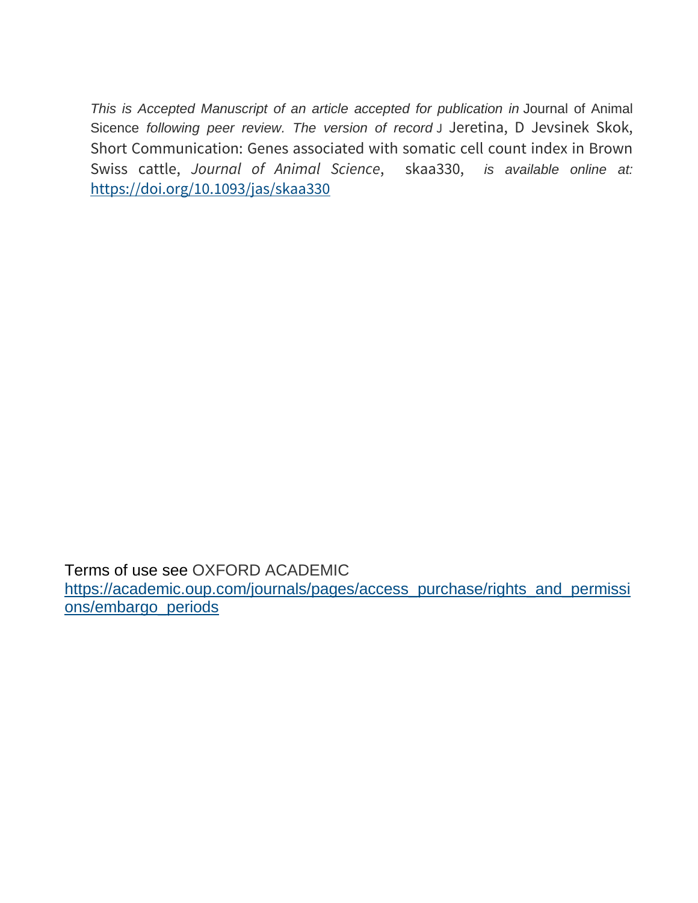*This is Accepted Manuscript of an article accepted for publication in* Journal of Animal Sicence *following peer review. The version of record* J Jeretina, D Jevsinek Skok, Short Communication: Genes associated with somatic cell count index in Brown Swiss cattle, *Journal of Animal Science*, skaa330, *is available online at:* <https://doi.org/10.1093/jas/skaa330>

Terms of use see OXFORD ACADEMIC [https://academic.oup.com/journals/pages/access\\_purchase/rights\\_and\\_permissi](https://academic.oup.com/journals/pages/access_purchase/rights_and_permissions/embargo_periods) [ons/embargo\\_periods](https://academic.oup.com/journals/pages/access_purchase/rights_and_permissions/embargo_periods)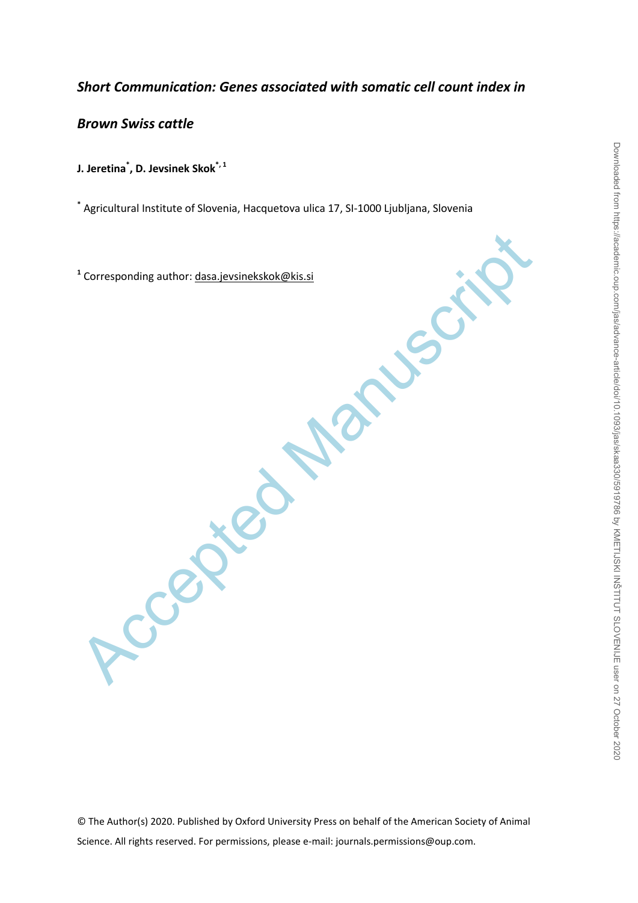# *Short Communication: Genes associated with somatic cell count index in*

*Brown Swiss cattle*

**J. Jeretina\* , D. Jevsinek Skok\*, <sup>1</sup>**

**\*** Agricultural Institute of Slovenia, Hacquetova ulica 17, SI-1000 Ljubljana, Slovenia

Accepted Manuscript **1** Corresponding author: dasa.jevsinekskok@kis.si

© The Author(s) 2020. Published by Oxford University Press on behalf of the American Society of Animal Science. All rights reserved. For permissions, please e-mail: journals.permissions@oup.com.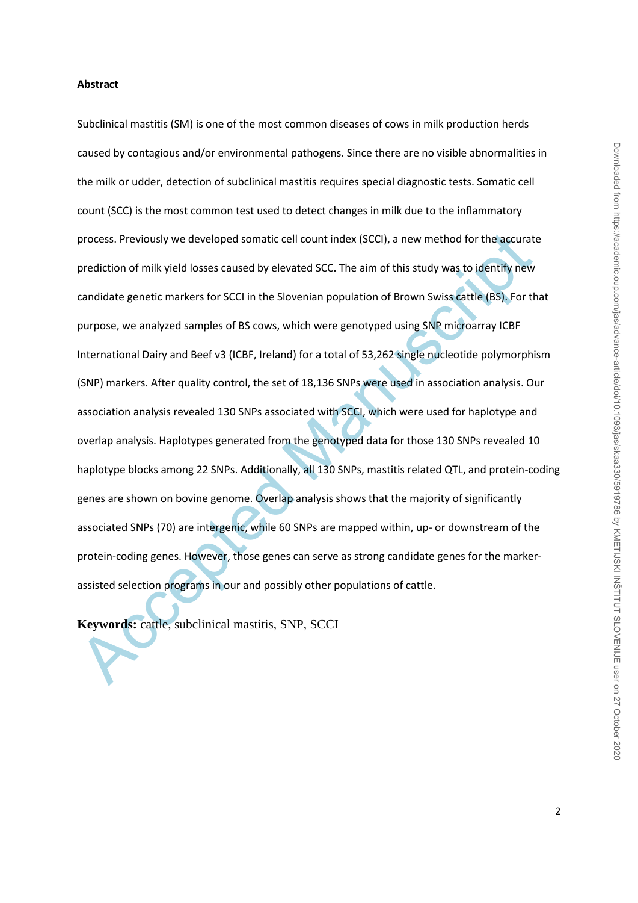#### **Abstract**

process. Previously we developed somatic cell count index (SCCl), a new method for the accurate<br>prediction of milk yield losses caused by elevated SCC. The aim of this study was to identify new<br>candidate genetic markers fo Subclinical mastitis (SM) is one of the most common diseases of cows in milk production herds caused by contagious and/or environmental pathogens. Since there are no visible abnormalities in the milk or udder, detection of subclinical mastitis requires special diagnostic tests. Somatic cell count (SCC) is the most common test used to detect changes in milk due to the inflammatory process. Previously we developed somatic cell count index (SCCI), a new method for the accurate prediction of milk yield losses caused by elevated SCC. The aim of this study was to identify new candidate genetic markers for SCCI in the Slovenian population of Brown Swiss cattle (BS). For that purpose, we analyzed samples of BS cows, which were genotyped using SNP microarray ICBF International Dairy and Beef v3 (ICBF, Ireland) for a total of 53,262 single nucleotide polymorphism (SNP) markers. After quality control, the set of 18,136 SNPs were used in association analysis. Our association analysis revealed 130 SNPs associated with SCCI, which were used for haplotype and overlap analysis. Haplotypes generated from the genotyped data for those 130 SNPs revealed 10 haplotype blocks among 22 SNPs. Additionally, all 130 SNPs, mastitis related QTL, and protein-coding genes are shown on bovine genome. Overlap analysis shows that the majority of significantly associated SNPs (70) are intergenic, while 60 SNPs are mapped within, up- or downstream of the protein-coding genes. However, those genes can serve as strong candidate genes for the markerassisted selection programs in our and possibly other populations of cattle.

**Keywords:** cattle, subclinical mastitis, SNP, SCCI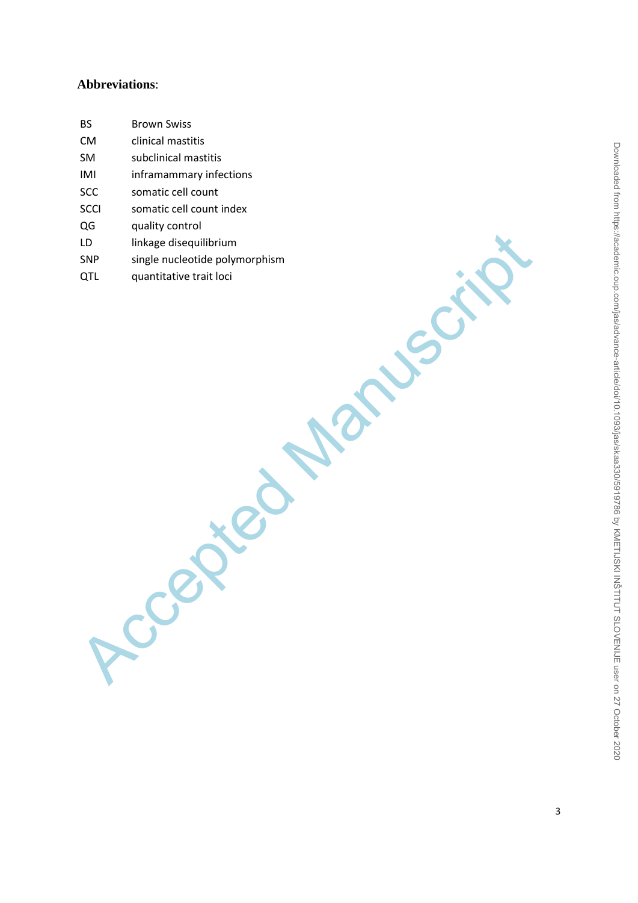# **Abbreviations**:

| <b>BS</b> | <b>Brown Swiss</b>             |
|-----------|--------------------------------|
| CM        | clinical mastitis              |
| SM        | subclinical mastitis           |
| IMI       | inframammary infections        |
| SCC       | somatic cell count             |
| SCCI      | somatic cell count index       |
| QG        | quality control                |
| LD        | linkage disequilibrium         |
| SNP       | single nucleotide polymorphism |
| QTL       | quantitative trait loci        |
|           |                                |
|           |                                |
|           |                                |
|           |                                |
|           |                                |
|           |                                |
|           |                                |
|           |                                |
|           |                                |
|           |                                |
|           |                                |
|           |                                |
|           |                                |
|           |                                |
|           |                                |
|           |                                |
|           |                                |
|           |                                |
|           |                                |
|           |                                |
|           |                                |
|           |                                |
|           |                                |
|           | Rece                           |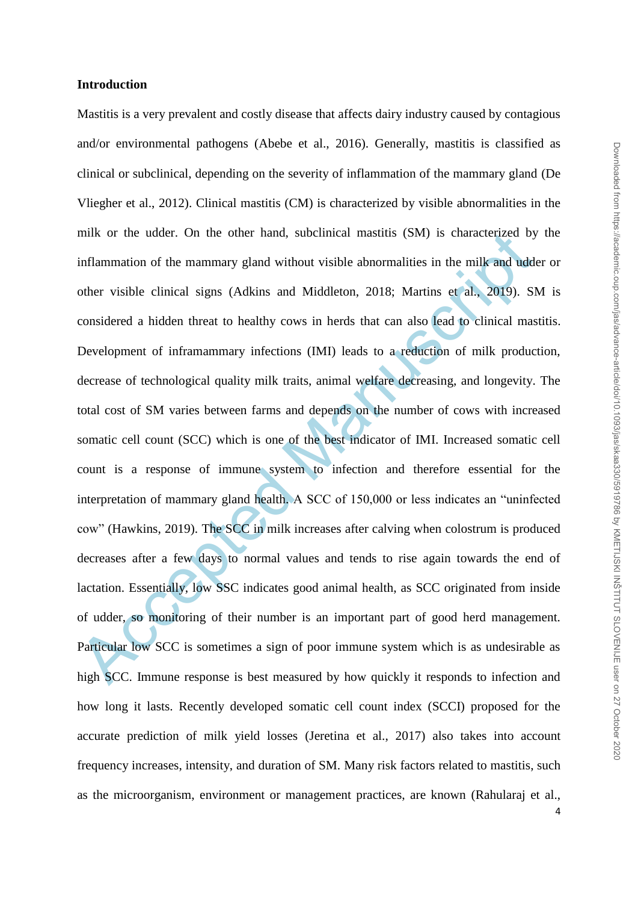### **Introduction**

mik or the udder. On the other hand, subchinical mastitis (SM) is characterized by<br>inflammation of the manumary gland without visible abnormalities in the milk and udd<br>other visible clinical signs (Adkins and Middleton, 20 Mastitis is a very prevalent and costly disease that affects dairy industry caused by contagious and/or environmental pathogens (Abebe et al., 2016). Generally, mastitis is classified as clinical or subclinical, depending on the severity of inflammation of the mammary gland (De Vliegher et al., 2012). Clinical mastitis (CM) is characterized by visible abnormalities in the milk or the udder. On the other hand, subclinical mastitis (SM) is characterized by the inflammation of the mammary gland without visible abnormalities in the milk and udder or other visible clinical signs (Adkins and Middleton, 2018; Martins et al., 2019). SM is considered a hidden threat to healthy cows in herds that can also lead to clinical mastitis. Development of inframammary infections (IMI) leads to a reduction of milk production, decrease of technological quality milk traits, animal welfare decreasing, and longevity. The total cost of SM varies between farms and depends on the number of cows with increased somatic cell count (SCC) which is one of the best indicator of IMI. Increased somatic cell count is a response of immune system to infection and therefore essential for the interpretation of mammary gland health. A SCC of 150,000 or less indicates an "uninfected cow" (Hawkins, 2019). The SCC in milk increases after calving when colostrum is produced decreases after a few days to normal values and tends to rise again towards the end of lactation. Essentially, low SSC indicates good animal health, as SCC originated from inside of udder, so monitoring of their number is an important part of good herd management. Particular low SCC is sometimes a sign of poor immune system which is as undesirable as high SCC. Immune response is best measured by how quickly it responds to infection and how long it lasts. Recently developed somatic cell count index (SCCI) proposed for the accurate prediction of milk yield losses (Jeretina et al., 2017) also takes into account frequency increases, intensity, and duration of SM. Many risk factors related to mastitis, such as the microorganism, environment or management practices, are known (Rahularaj et al.,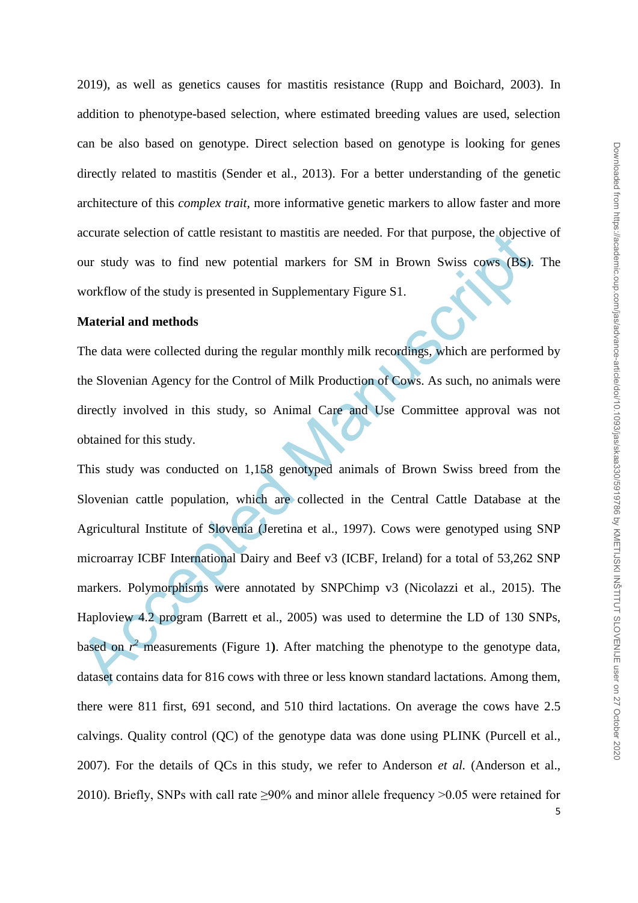2019), as well as genetics causes for mastitis resistance (Rupp and Boichard, 2003). In addition to phenotype-based selection, where estimated breeding values are used, selection can be also based on genotype. Direct selection based on genotype is looking for genes directly related to mastitis (Sender et al., 2013). For a better understanding of the genetic architecture of this *complex trait,* more informative genetic markers to allow faster and more accurate selection of cattle resistant to mastitis are needed. For that purpose, the objective of our study was to find new potential markers for SM in Brown Swiss cows (BS). The workflow of the study is presented in Supplementary Figure S1.

## **Material and methods**

The data were collected during the regular monthly milk recordings, which are performed by the Slovenian Agency for the Control of Milk Production of Cows. As such, no animals were directly involved in this study, so Animal Care and Use Committee approval was not obtained for this study.

accurate selection of cattle resistant to mastitis are needed. For that purpose, the objectivour study was to find new potential markers for SM in Brown Swiss cows (BS), workflow of the study is presented in Supplementary This study was conducted on 1,158 genotyped animals of Brown Swiss breed from the Slovenian cattle population, which are collected in the Central Cattle Database at the Agricultural Institute of Slovenia (Jeretina et al., 1997). Cows were genotyped using SNP microarray ICBF International Dairy and Beef v3 (ICBF, Ireland) for a total of 53,262 SNP markers. Polymorphisms were annotated by SNPChimp v3 (Nicolazzi et al., 2015). The Haploview 4.2 program (Barrett et al., 2005) was used to determine the LD of 130 SNPs, based on  $r^2$  measurements (Figure 1). After matching the phenotype to the genotype data, dataset contains data for 816 cows with three or less known standard lactations. Among them, there were 811 first, 691 second, and 510 third lactations. On average the cows have 2.5 calvings. Quality control (QC) of the genotype data was done using PLINK (Purcell et al., 2007). For the details of QCs in this study, we refer to Anderson *et al.* (Anderson et al., 2010). Briefly, SNPs with call rate ≥90% and minor allele frequency >0.05 were retained for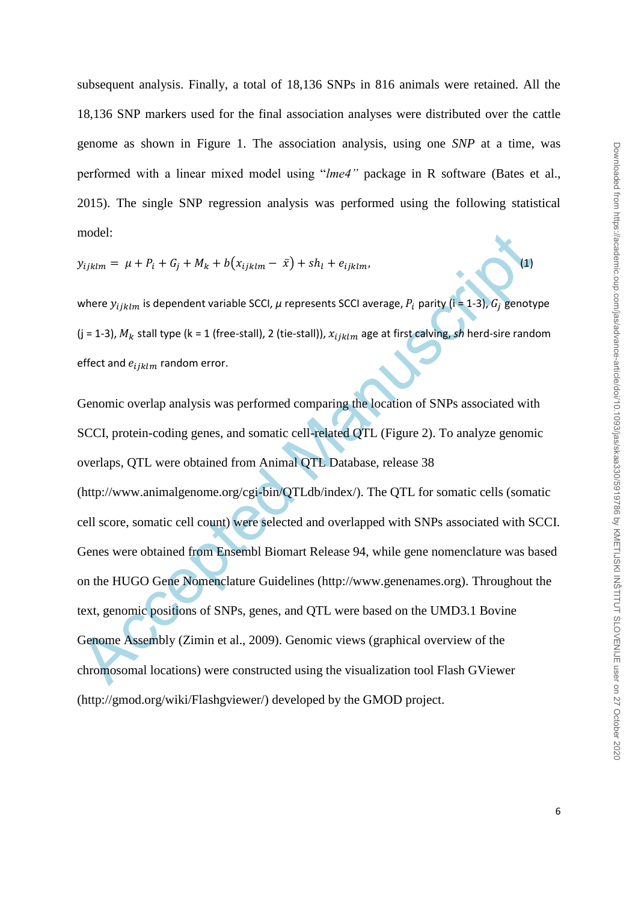subsequent analysis. Finally, a total of 18,136 SNPs in 816 animals were retained. All the 18,136 SNP markers used for the final association analyses were distributed over the cattle genome as shown in Figure 1. The association analysis, using one *SNP* at a time, was performed with a linear mixed model using "*lme4"* package in R software (Bates et al., 2015). The single SNP regression analysis was performed using the following statistical model:

$$
y_{ijklm} = \mu + P_i + G_j + M_k + b(x_{ijklm} - \bar{x}) + sh_l + e_{ijklm},
$$
\n(1)

where  $y_{ijklm}$  is dependent variable SCCI,  $\mu$  represents SCCI average,  $P_i$  parity (i = 1-3),  $G_i$  genotype (j = 1-3),  $M_k$  stall type (k = 1 (free-stall), 2 (tie-stall)),  $x_{ijklm}$  age at first calving, *sh* herd-sire random effect and  $e_{ijklm}$  random error.

model:<br>  $y_{ijklm} = \mu + P_i + G_j + M_k + b(x_{ijklm} - \bar{x}) + sh_i + e_{ijklm}$ <br>
where  $y_{ijklm}$  is dependent variable SCCl,  $\mu$  represents SCCl average,  $P_i$  parity (i = 1-3),  $G_i$  genoty<br>
(i = 1-3),  $M_k$  stall type (k = 1 (free-stall), 2 (tie-stal Genomic overlap analysis was performed comparing the location of SNPs associated with SCCI, protein-coding genes, and somatic cell-related QTL (Figure 2). To analyze genomic overlaps, QTL were obtained from Animal QTL Database, release 38 (http://www.animalgenome.org/cgi-bin/QTLdb/index/). The QTL for somatic cells (somatic cell score, somatic cell count) were selected and overlapped with SNPs associated with SCCI. Genes were obtained from Ensembl Biomart Release 94, while gene nomenclature was based on the HUGO Gene Nomenclature Guidelines (http://www.genenames.org). Throughout the text, genomic positions of SNPs, genes, and QTL were based on the UMD3.1 Bovine Genome Assembly (Zimin et al., 2009). Genomic views (graphical overview of the chromosomal locations) were constructed using the visualization tool Flash GViewer (http://gmod.org/wiki/Flashgviewer/) developed by the GMOD project.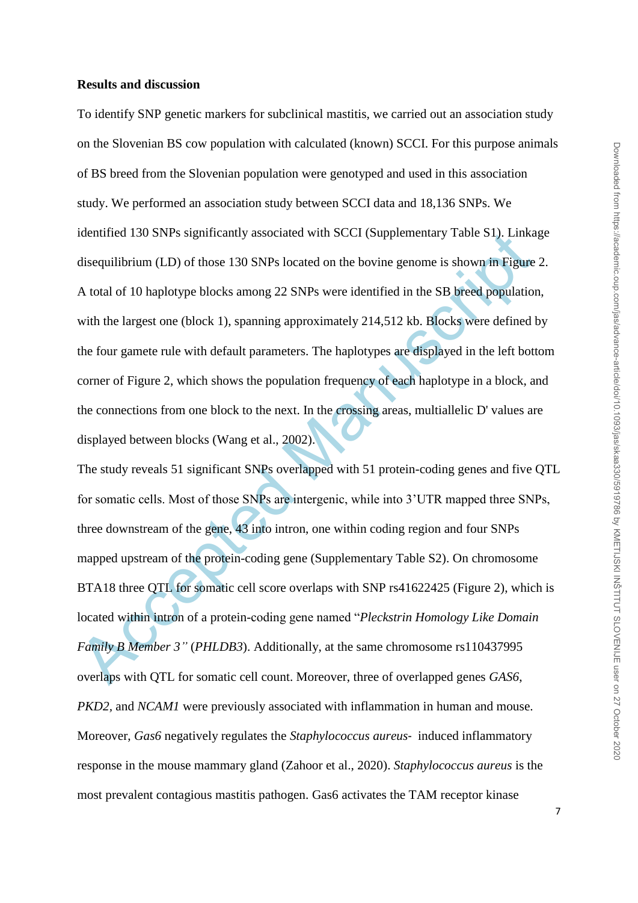### **Results and discussion**

To identify SNP genetic markers for subclinical mastitis, we carried out an association study on the Slovenian BS cow population with calculated (known) SCCI. For this purpose animals of BS breed from the Slovenian population were genotyped and used in this association study. We performed an association study between SCCI data and 18,136 SNPs. We identified 130 SNPs significantly associated with SCCI (Supplementary Table S1). Linkage disequilibrium (LD) of those 130 SNPs located on the bovine genome is shown in Figure 2. A total of 10 haplotype blocks among 22 SNPs were identified in the SB breed population, with the largest one (block 1), spanning approximately 214,512 kb. Blocks were defined by the four gamete rule with default parameters. The haplotypes are displayed in the left bottom corner of Figure 2, which shows the population frequency of each haplotype in a block, and the connections from one block to the next. In the crossing areas, multiallelic D' values are displayed between blocks (Wang et al., 2002).

identified 130 SNPs significantly associated with SCCI (Supplementary 1able S1). Linka<br>disequilibrium (LD) of those 130 SNPs located on the bovine genome is shown in Figure<br>A total of 10 haplotype blocks among 22 SNPs wer The study reveals 51 significant SNPs overlapped with 51 protein-coding genes and five QTL for somatic cells. Most of those SNPs are intergenic, while into 3'UTR mapped three SNPs, three downstream of the gene, 43 into intron, one within coding region and four SNPs mapped upstream of the protein-coding gene (Supplementary Table S2). On chromosome BTA18 three QTL for somatic cell score overlaps with SNP rs41622425 (Figure 2), which is located within intron of a protein-coding gene named "*Pleckstrin Homology Like Domain Family B Member 3"* (*PHLDB3*). Additionally, at the same chromosome rs110437995 overlaps with QTL for somatic cell count. Moreover, three of overlapped genes *GAS6*, *PKD2,* and *NCAM1* were previously associated with inflammation in human and mouse. Moreover, *Gas6* negatively regulates the *Staphylococcus aureus*‐ induced inflammatory response in the mouse mammary gland (Zahoor et al., 2020). *Staphylococcus aureus* is the most prevalent contagious mastitis pathogen. Gas6 activates the TAM receptor kinase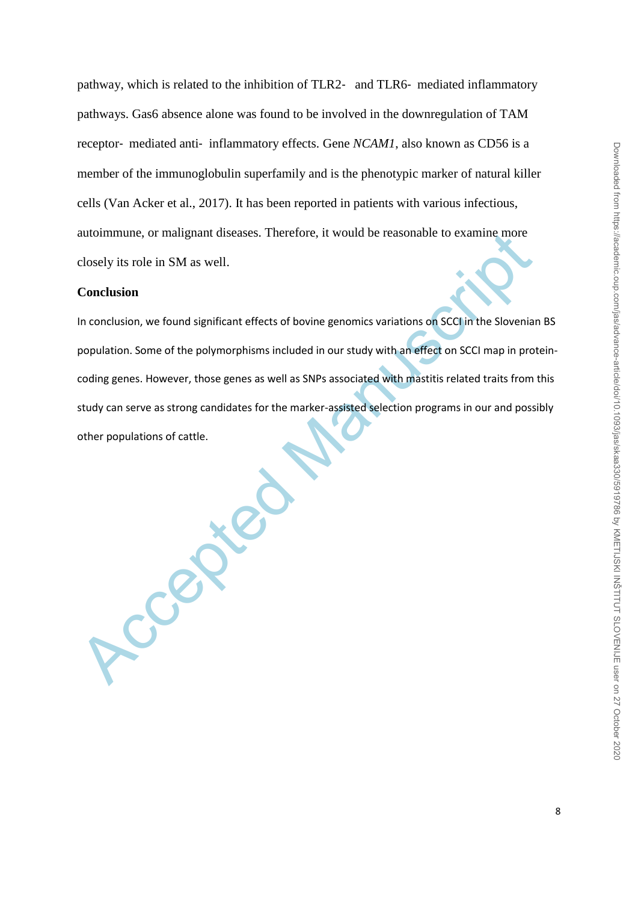pathway, which is related to the inhibition of TLR2‐ and TLR6‐ mediated inflammatory pathways. Gas6 absence alone was found to be involved in the downregulation of TAM receptor- mediated anti- inflammatory effects. Gene *NCAM1*, also known as CD56 is a member of the immunoglobulin superfamily and is the phenotypic marker of natural killer cells (Van Acker et al., 2017). It has been reported in patients with various infectious, autoimmune, or malignant diseases. Therefore, it would be reasonable to examine more closely its role in SM as well.

#### **Conclusion**

autommune, or malignant diseases. Therefore, it would be reasonable to examine more<br>closely its role in SM as well.<br>**Conclusion**<br>In conclusion, we found significant effects of bovine genomics variations on SCCI in the Slov In conclusion, we found significant effects of bovine genomics variations on SCCI in the Slovenian BS population. Some of the polymorphisms included in our study with an effect on SCCI map in proteincoding genes. However, those genes as well as SNPs associated with mastitis related traits from this study can serve as strong candidates for the marker-assisted selection programs in our and possibly other populations of cattle.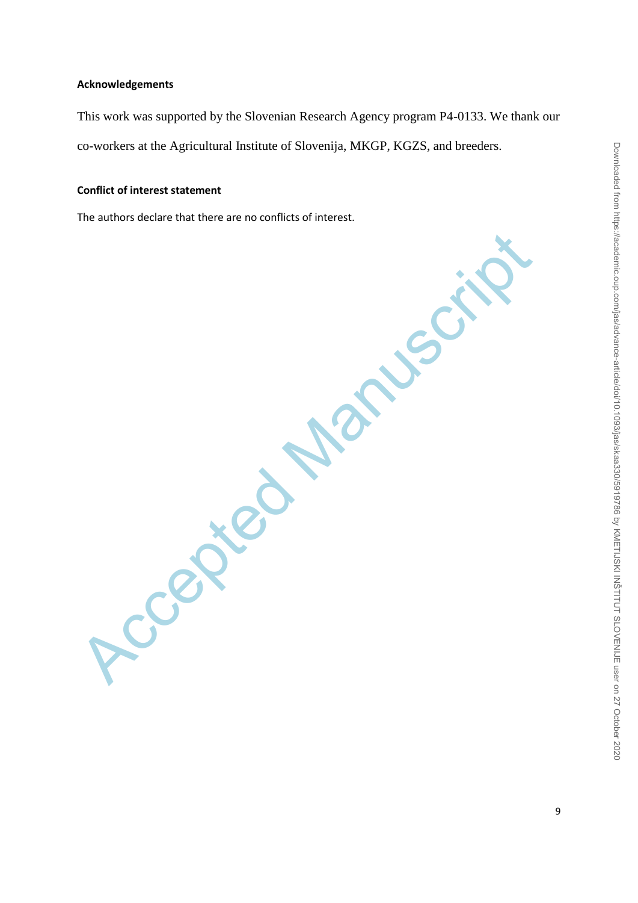## **Acknowledgements**

This work was supported by the Slovenian Research Agency program P4-0133. We thank our co-workers at the Agricultural Institute of Slovenija, MKGP, KGZS, and breeders.

### **Conflict of interest statement**

The authors declare that there are no conflicts of interest.

Accepted Maruscript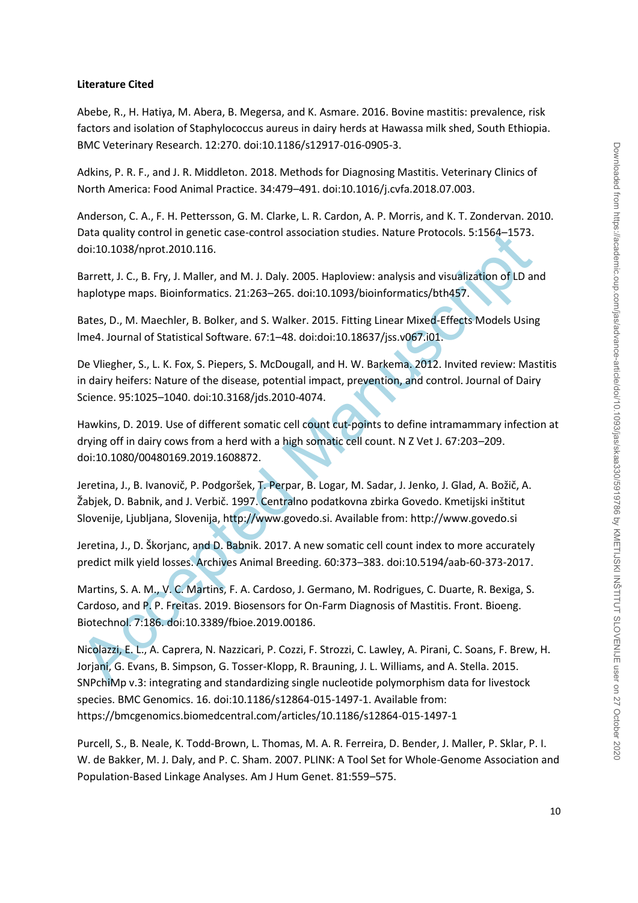### **Literature Cited**

Abebe, R., H. Hatiya, M. Abera, B. Megersa, and K. Asmare. 2016. Bovine mastitis: prevalence, risk factors and isolation of Staphylococcus aureus in dairy herds at Hawassa milk shed, South Ethiopia. BMC Veterinary Research. 12:270. doi:10.1186/s12917-016-0905-3.

Adkins, P. R. F., and J. R. Middleton. 2018. Methods for Diagnosing Mastitis. Veterinary Clinics of North America: Food Animal Practice. 34:479–491. doi:10.1016/j.cvfa.2018.07.003.

Anderson, C. A., F. H. Pettersson, G. M. Clarke, L. R. Cardon, A. P. Morris, and K. T. Zondervan. 2010. Data quality control in genetic case-control association studies. Nature Protocols. 5:1564–1573. doi:10.1038/nprot.2010.116.

Barrett, J. C., B. Fry, J. Maller, and M. J. Daly. 2005. Haploview: analysis and visualization of LD and haplotype maps. Bioinformatics. 21:263–265. doi:10.1093/bioinformatics/bth457.

Bates, D., M. Maechler, B. Bolker, and S. Walker. 2015. Fitting Linear Mixed-Effects Models Using lme4. Journal of Statistical Software. 67:1–48. doi:doi:10.18637/jss.v067.i01.

De Vliegher, S., L. K. Fox, S. Piepers, S. McDougall, and H. W. Barkema. 2012. Invited review: Mastitis in dairy heifers: Nature of the disease, potential impact, prevention, and control. Journal of Dairy Science. 95:1025–1040. doi:10.3168/jds.2010-4074.

Hawkins, D. 2019. Use of different somatic cell count cut-points to define intramammary infection at drying off in dairy cows from a herd with a high somatic cell count. N Z Vet J. 67:203–209. doi:10.1080/00480169.2019.1608872.

Jeretina, J., B. Ivanovič, P. Podgoršek, T. Perpar, B. Logar, M. Sadar, J. Jenko, J. Glad, A. Božič, A. Žabjek, D. Babnik, and J. Verbič. 1997. Centralno podatkovna zbirka Govedo. Kmetijski inštitut Slovenije, Ljubljana, Slovenija, http://www.govedo.si. Available from: http://www.govedo.si

Jeretina, J., D. Škorjanc, and D. Babnik. 2017. A new somatic cell count index to more accurately predict milk yield losses. Archives Animal Breeding. 60:373–383. doi:10.5194/aab-60-373-2017.

Data quality control in genetic case-control association studies. Nature Protocols. 5:1564–1573.<br>
doi:10.1038/nprot.2010.116.<br>
Barrett, J. C., B. Fry, J. Maller, and M. J. Daly. 2005. Haploview: analysis and visualization Martins, S. A. M., V. C. Martins, F. A. Cardoso, J. Germano, M. Rodrigues, C. Duarte, R. Bexiga, S. Cardoso, and P. P. Freitas. 2019. Biosensors for On-Farm Diagnosis of Mastitis. Front. Bioeng. Biotechnol. 7:186. doi:10.3389/fbioe.2019.00186.

Nicolazzi, E. L., A. Caprera, N. Nazzicari, P. Cozzi, F. Strozzi, C. Lawley, A. Pirani, C. Soans, F. Brew, H. Jorjani, G. Evans, B. Simpson, G. Tosser-Klopp, R. Brauning, J. L. Williams, and A. Stella. 2015. SNPchiMp v.3: integrating and standardizing single nucleotide polymorphism data for livestock species. BMC Genomics. 16. doi:10.1186/s12864-015-1497-1. Available from: https://bmcgenomics.biomedcentral.com/articles/10.1186/s12864-015-1497-1

Purcell, S., B. Neale, K. Todd-Brown, L. Thomas, M. A. R. Ferreira, D. Bender, J. Maller, P. Sklar, P. I. W. de Bakker, M. J. Daly, and P. C. Sham. 2007. PLINK: A Tool Set for Whole-Genome Association and Population-Based Linkage Analyses. Am J Hum Genet. 81:559–575.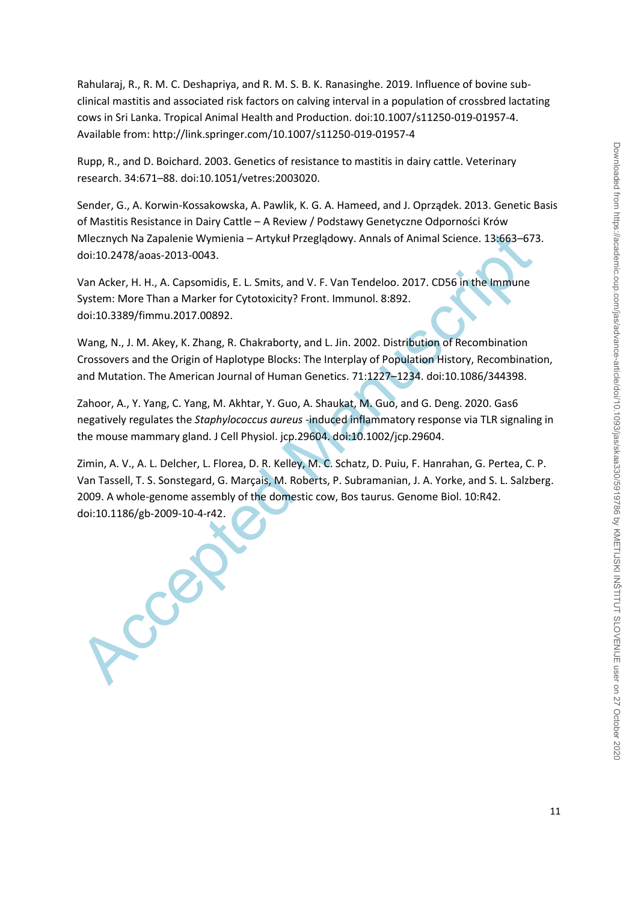Rahularaj, R., R. M. C. Deshapriya, and R. M. S. B. K. Ranasinghe. 2019. Influence of bovine subclinical mastitis and associated risk factors on calving interval in a population of crossbred lactating cows in Sri Lanka. Tropical Animal Health and Production. doi:10.1007/s11250-019-01957-4. Available from: http://link.springer.com/10.1007/s11250-019-01957-4

Rupp, R., and D. Boichard. 2003. Genetics of resistance to mastitis in dairy cattle. Veterinary research. 34:671–88. doi:10.1051/vetres:2003020.

Sender, G., A. Korwin-Kossakowska, A. Pawlik, K. G. A. Hameed, and J. Oprządek. 2013. Genetic Basis of Mastitis Resistance in Dairy Cattle – A Review / Podstawy Genetyczne Odporności Krów Mlecznych Na Zapalenie Wymienia – Artykuł Przeglądowy. Annals of Animal Science. 13:663–673. doi:10.2478/aoas-2013-0043.

Van Acker, H. H., A. Capsomidis, E. L. Smits, and V. F. Van Tendeloo. 2017. CD56 in the Immune System: More Than a Marker for Cytotoxicity? Front. Immunol. 8:892. doi:10.3389/fimmu.2017.00892.

Wang, N., J. M. Akey, K. Zhang, R. Chakraborty, and L. Jin. 2002. Distribution of Recombination Crossovers and the Origin of Haplotype Blocks: The Interplay of Population History, Recombination, and Mutation. The American Journal of Human Genetics. 71:1227–1234. doi:10.1086/344398.

Zahoor, A., Y. Yang, C. Yang, M. Akhtar, Y. Guo, A. Shaukat, M. Guo, and G. Deng. 2020. Gas6 negatively regulates the *Staphylococcus aureus* ‐induced inflammatory response via TLR signaling in the mouse mammary gland. J Cell Physiol. jcp.29604. doi:10.1002/jcp.29604.

Mecznych Na Zapalenie Wymienia – Artykuł Przeglądowy. Annals of Animal Science. 13:663-673<br>
doi:10.2478/aoas-2013-0043.<br>
Van Acker, H. H., A. C. apsomidis, E. L. Smits, and V. F. Van Tendeloo. 2017. CD56 in the Immune<br>
Sys Zimin, A. V., A. L. Delcher, L. Florea, D. R. Kelley, M. C. Schatz, D. Puiu, F. Hanrahan, G. Pertea, C. P. Van Tassell, T. S. Sonstegard, G. Marçais, M. Roberts, P. Subramanian, J. A. Yorke, and S. L. Salzberg. 2009. A whole-genome assembly of the domestic cow, Bos taurus. Genome Biol. 10:R42. doi:10.1186/gb-2009-10-4-r42.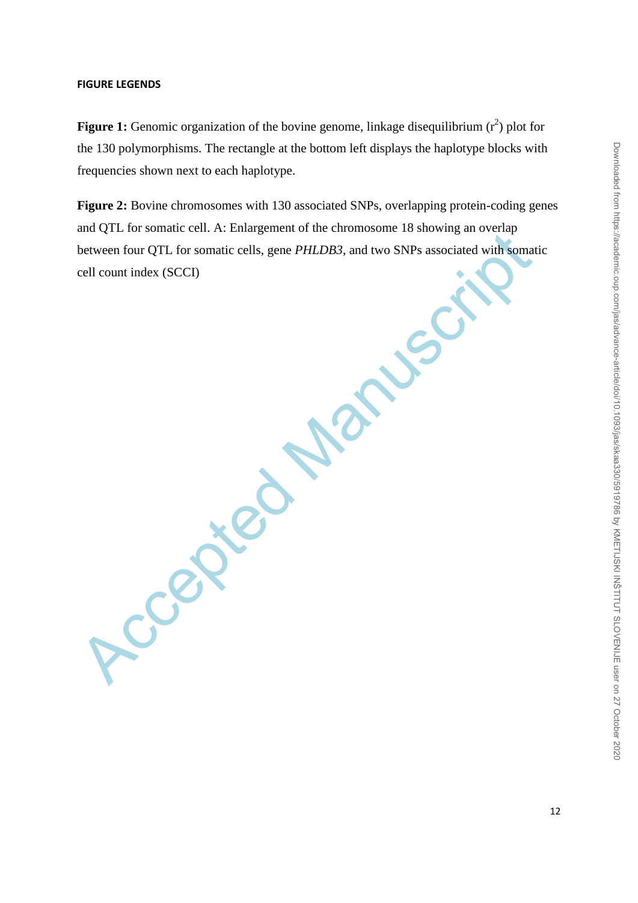#### **FIGURE LEGENDS**

**Figure 1:** Genomic organization of the bovine genome, linkage disequilibrium  $(r^2)$  plot for the 130 polymorphisms. The rectangle at the bottom left displays the haplotype blocks with frequencies shown next to each haplotype.

**Figure 2:** Bovine chromosomes with 130 associated SNPs, overlapping protein-coding genes and QTL for somatic cell. A: Enlargement of the chromosome 18 showing an overlap between four QTL for somatic cells, gene *PHLDB3*, and two SNPs associated with somatic cell count index (SCCI)

Accepted Ma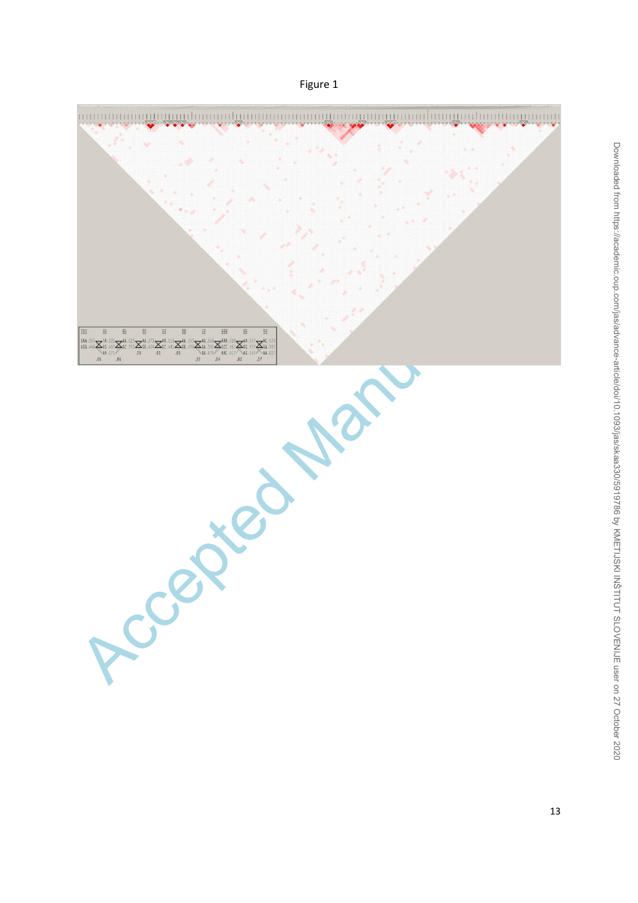